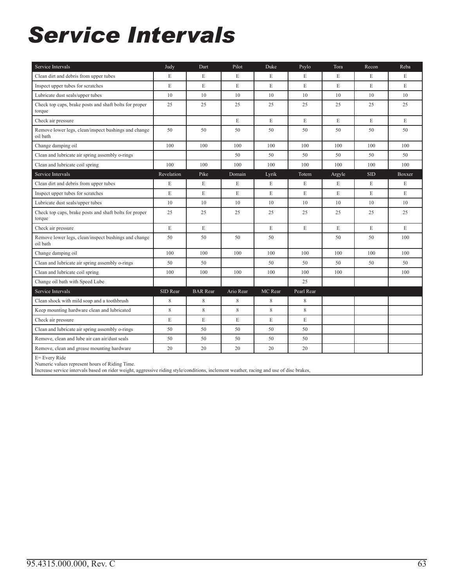### *Service Intervals*

| Service Intervals                                                | Judy        | Dart            | Pilot       | Duke    | Psylo       | Tora        | Recon      | Reba        |
|------------------------------------------------------------------|-------------|-----------------|-------------|---------|-------------|-------------|------------|-------------|
| Clean dirt and debris from upper tubes                           | E           | E               | E           | E       | E           | E           | E          | E           |
| Inspect upper tubes for scratches                                | E           | E               | E           | E       | E           | E           | E          | E           |
| Lubricate dust seals/upper tubes                                 | 10          | 10              | 10          | 10      | 10          | 10          | 10         | 10          |
| Check top caps, brake posts and shaft bolts for proper<br>torque | 25          | 25              | 25          | 25      | 25          | 25          | 25         | 25          |
| Check air pressure                                               |             |                 | $\mathbf E$ | E       | E           | E           | E          | $\mathbf E$ |
| Remove lower legs, clean/inspect bushings and change<br>oil bath | 50          | 50              | 50          | 50      | 50          | 50          | 50         | 50          |
| Change damping oil                                               | 100         | 100             | 100         | 100     | 100         | 100         | 100        | 100         |
| Clean and lubricate air spring assembly o-rings                  |             |                 | 50          | 50      | 50          | 50          | 50         | 50          |
| Clean and lubricate coil spring                                  | 100         | 100             | 100         | 100     | 100         | 100         | 100        | 100         |
| Service Intervals                                                | Revelation  | Pike            | Domain      | Lyrik   | Totem       | Argyle      | <b>SID</b> | Boxxer      |
| Clean dirt and debris from upper tubes                           | E           | E               | E           | E       | E           | E           | E          | E           |
| Inspect upper tubes for scratches                                | $\mathbf E$ | E               | E           | E       | E           | $\mathbf E$ | E          | E           |
| Lubricate dust seals/upper tubes                                 | 10          | 10              | 10          | 10      | 10          | 10          | 10         | 10          |
| Check top caps, brake posts and shaft bolts for proper<br>torque | 25          | 25              | 25          | 25      | 25          | 25          | 25         | 25          |
| Check air pressure                                               | E           | E               |             | E       | E           | E           | E          | E           |
| Remove lower legs, clean/inspect bushings and change<br>oil bath | 50          | 50              | 50          | 50      |             | 50          | 50         | 100         |
| Change damping oil                                               | 100         | 100             | 100         | 100     | 100         | 100         | 100        | 100         |
| Clean and lubricate air spring assembly o-rings                  | 50          | 50              |             | 50      | 50          | 50          | 50         | 50          |
| Clean and lubricate coil spring                                  | 100         | 100             | 100         | 100     | 100         | 100         |            | 100         |
| Change oil bath with Speed Lube                                  |             |                 |             |         | 25          |             |            |             |
| Service Intervals                                                | SID Rear    | <b>BAR</b> Rear | Ario Rear   | MC Rear | Pearl Rear  |             |            |             |
| Clean shock with mild soap and a toothbrush                      | 8           | 8               | 8           | 8       | $\,$ 8 $\,$ |             |            |             |
| Keep mounting hardware clean and lubricated                      | 8           | 8               | 8           | 8       | 8           |             |            |             |
| Check air pressure                                               | E           | E               | E           | E       | E           |             |            |             |
| Clean and lubricate air spring assembly o-rings                  | 50          | 50              | 50          | 50      | 50          |             |            |             |
| Remove, clean and lube air can air/dust seals                    | 50          | 50              | 50          | 50      | 50          |             |            |             |
| Remove, clean and grease mounting hardware                       | 20          | 20              | 20          | 20      | 20          |             |            |             |
| E= Every Ride<br>Numeric values represent hours of Riding Time.  |             |                 |             |         |             |             |            |             |

Increase service intervals based on rider weight, aggressive riding style/conditions, inclement weather, racing and use of disc brakes,

ı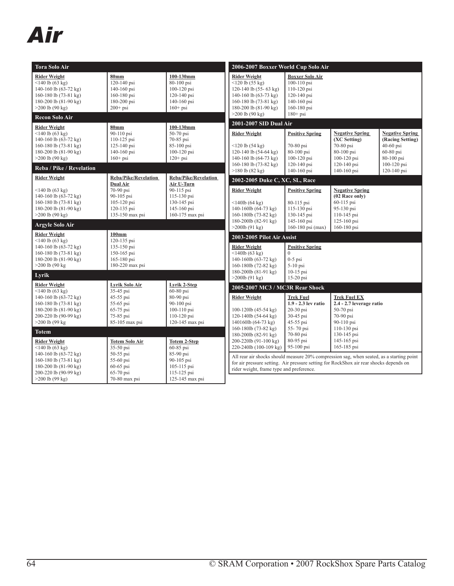### *Air*

| Tora Solo Air                                                                                                                                                                |                                                                                                         |                                                                                                              | 2006-2007 Boxxer World Cup Solo Air                                                                                                                                                                                                                                               |                                                                                                                 |                                                                                                                        |                                                                                                                  |
|------------------------------------------------------------------------------------------------------------------------------------------------------------------------------|---------------------------------------------------------------------------------------------------------|--------------------------------------------------------------------------------------------------------------|-----------------------------------------------------------------------------------------------------------------------------------------------------------------------------------------------------------------------------------------------------------------------------------|-----------------------------------------------------------------------------------------------------------------|------------------------------------------------------------------------------------------------------------------------|------------------------------------------------------------------------------------------------------------------|
| <b>Rider Weight</b><br>$<$ 140 lb (63 kg)<br>140-160 lb (63-72 kg)<br>160-180 lb (73-81 kg)<br>180-200 lb (81-90 kg)<br>$>200$ lb (90 kg)<br><b>Recon Solo Air</b>           | <b>80mm</b><br>120-140 psi<br>140-160 psi<br>$160 - 180$ psi<br>180-200 psi<br>$200+$ psi               | 100-130mm<br>80-100 psi<br>100-120 psi<br>120-140 psi<br>140-160 psi<br>$160+$ psi                           | <b>Rider Weight</b><br>$<120$ lb (55 kg)<br>120-140 lb (55- 63 kg)<br>140-160 lb $(63-73 \text{ kg})$<br>160-180 lb $(73-81 \text{ kg})$<br>180-200 lb (81-90 kg)<br>$>200$ lb (90 kg)                                                                                            | <b>Boxxer Solo Air</b><br>100-110 psi<br>110-120 psi<br>120-140 psi<br>140-160 psi<br>160-180 psi<br>$180+$ psi |                                                                                                                        |                                                                                                                  |
|                                                                                                                                                                              |                                                                                                         |                                                                                                              | 2001-2007 SID Dual Air                                                                                                                                                                                                                                                            |                                                                                                                 |                                                                                                                        |                                                                                                                  |
| <b>Rider Weight</b><br>$<$ 140 lb (63 kg)<br>140-160 lb (63-72 kg)<br>160-180 lb (73-81 kg)<br>180-200 lb (81-90 kg)<br>$>200$ lb (90 kg)<br>Reba / Pike / Revelation        | 80 <sub>mm</sub><br>90-110 psi<br>$110 - 125$ psi<br>$125 - 140$ psi<br>140-160 psi<br>$160+$ psi       | 100-130mm<br>50-70 psi<br>70-85 psi<br>85-100 psi<br>100-120 psi<br>$120+$ psi                               | <b>Rider Weight</b><br>$<$ 120 lb (54 kg)<br>120-140 lb (54-64 kg)<br>140-160 lb $(64-73 \text{ kg})$<br>160-180 lb (73-82 kg)<br>$>180$ lb $(82$ kg)                                                                                                                             | <b>Positive Spring</b><br>70-80 psi<br>80-100 psi<br>$100 - 120$ psi<br>120-140 psi<br>140-160 psi              | <b>Negative Spring</b><br>(XC Setting)<br>70-80 psi<br>80-100 psi<br>$100 - 120$ psi<br>$120 - 140$ psi<br>140-160 psi | <b>Negative Spring</b><br>(Racing Setting)<br>40-60 psi<br>60-80 psi<br>80-100 psi<br>100-120 psi<br>120-140 psi |
| <b>Rider Weight</b>                                                                                                                                                          | <b>Reba/Pike/Revelation</b>                                                                             | <b>Reba/Pike/Revelation</b>                                                                                  | 2002-2005 Duke C, XC, SL, Race                                                                                                                                                                                                                                                    |                                                                                                                 |                                                                                                                        |                                                                                                                  |
| $<$ 140 lb (63 kg)<br>140-160 lb (63-72 kg)<br>160-180 lb (73-81 kg)<br>180-200 lb (81-90 kg)<br>$>200$ lb (90 kg)                                                           | Dual Air<br>70-90 psi<br>90-105 psi<br>$105 - 120$ psi<br>120-135 psi<br>135-150 max psi                | Air U-Turn<br>90-115 psi<br>115-130 psi<br>130-145 psi<br>145-160 psi<br>160-175 max psi                     | <b>Rider Weight</b><br>$<140$ lb (64 kg)<br>140-160lb (64-73 kg)<br>160-180lb (73-82 kg)<br>180-200lb (82-91 kg)                                                                                                                                                                  | <b>Positive Spring</b><br>80-115 psi<br>115-130 psi<br>130-145 psi<br>145-160 psi                               | <b>Negative Spring</b><br>(02 Race only)<br>$60-115$ psi<br>95-130 psi<br>110-145 psi<br>$125 - 160$ psi               |                                                                                                                  |
| <b>Argyle Solo Air</b>                                                                                                                                                       |                                                                                                         |                                                                                                              | $>200$ lb $(91 \text{ kg})$                                                                                                                                                                                                                                                       | 160-180 psi (max)                                                                                               | 160-180 psi                                                                                                            |                                                                                                                  |
| <b>Rider Weight</b><br>$<$ 140 lb (63 kg)<br>140-160 lb (63-72 kg)<br>160-180 lb (73-81 kg)<br>180-200 lb (81-90 kg)<br>$>200$ lb (90 kg)                                    | $100$ mm<br>120-135 psi<br>135-150 psi<br>150-165 psi<br>165-180 psi<br>180-220 max psi                 |                                                                                                              | 2003-2005 Pilot Air Assist<br><b>Rider Weight</b><br>$<$ 140lb (63 kg)<br>140-160lb (63-72 kg)<br>160-180lb (72-82 kg)                                                                                                                                                            | <b>Positive Spring</b><br>$\Omega$<br>$0-5$ psi<br>$5-10$ psi                                                   |                                                                                                                        |                                                                                                                  |
| Lyrik                                                                                                                                                                        |                                                                                                         |                                                                                                              | 180-200lb (81-91 kg)<br>$>200$ lb $(91 \text{ kg})$                                                                                                                                                                                                                               | 10-15 psi<br>$15-20$ psi                                                                                        |                                                                                                                        |                                                                                                                  |
| <b>Rider Weight</b><br>$<$ 140 lb (63 kg)<br>140-160 lb (63-72 kg)<br>160-180 lb (73-81 kg)<br>180-200 lb $(81-90 \text{ kg})$<br>200-220 lb (90-99 kg)<br>$>200$ lb (99 kg) | Lyrik Solo Air<br>$35-45$ psi<br>45-55 psi<br>55-65 psi<br>65-75 psi<br>75-85 psi<br>85-105 max psi     | Lyrik 2-Step<br>60-80 psi<br>80-90 psi<br>90-100 psi<br>$100 - 110$ psi<br>110-120 psi<br>120-145 max psi    | 2005-2007 MC3 / MC3R Rear Shock<br><b>Rider Weight</b><br>$100-120$ lb $(45-54 \text{ kg})$<br>120-140lb (54-64 kg)<br>140160lb (64-73 kg)<br>160-180lb (73-82 kg)                                                                                                                | <b>Trek Fuel</b><br>1.9 - 2.3 lev ratio<br>$20-30$ psi<br>30-45 psi<br>45-55 psi<br>55-70 psi                   | <b>Trek Fuel EX</b><br>$2.4 - 2.7$ leverage ratio<br>50-70 psi<br>70-90 psi<br>90-110 psi<br>110-130 psi               |                                                                                                                  |
| <b>Totem</b>                                                                                                                                                                 |                                                                                                         |                                                                                                              | 180-200lb (82-91 kg)                                                                                                                                                                                                                                                              | 70-80 psi                                                                                                       | 130-145 psi                                                                                                            |                                                                                                                  |
| <b>Rider Weight</b><br>$<$ 140 lb (63 kg)<br>140-160 lb (63-72 kg)<br>160-180 lb (73-81 kg)<br>180-200 lb (81-90 kg)<br>200-220 lb (90-99 kg)<br>$>200$ lb (99 kg)           | <b>Totem Solo Air</b><br>35-50 psi<br>50-55 psi<br>55-60 psi<br>60-65 psi<br>65-70 psi<br>70-80 max psi | <b>Totem 2-Step</b><br>60-85 psi<br>85-90 psi<br>90-105 psi<br>105-115 psi<br>115-125 psi<br>125-145 max psi | 200-220lb (91-100 kg)<br>220-240lb (100-109 kg)<br>All rear air shocks should measure 20% compression sag, when seated, as a starting point<br>for air pressure setting. Air pressure setting for RockShox air rear shocks depends on<br>rider weight, frame type and preference. | 80-95 psi<br>95-100 psi                                                                                         | 145-165 psi<br>165-185 psi                                                                                             |                                                                                                                  |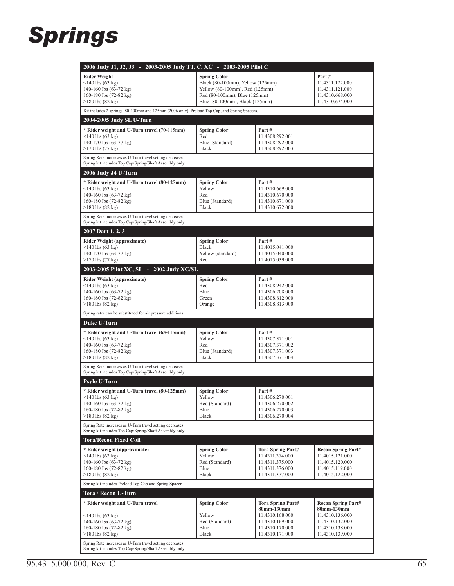#### *Springs*

| 2006 Judy J1, J2, J3 - 2003-2005 Judy TT, C, XC - 2003-2005 Pilot C                                                 |                                                                    |                                    |                                    |  |  |  |  |
|---------------------------------------------------------------------------------------------------------------------|--------------------------------------------------------------------|------------------------------------|------------------------------------|--|--|--|--|
| <b>Rider Weight</b>                                                                                                 | <b>Spring Color</b>                                                |                                    | Part#                              |  |  |  |  |
| $\leq$ 140 lbs (63 kg)                                                                                              | Black (80-100mm), Yellow (125mm)<br>Yellow (80-100mm), Red (125mm) |                                    | 11.4311.122.000                    |  |  |  |  |
| 140-160 lbs $(63-72 \text{ kg})$<br>160-180 lbs $(72-82 \text{ kg})$                                                | Red (80-100mm), Blue (125mm)                                       |                                    | 11.4311.121.000<br>11.4310.668.000 |  |  |  |  |
| $>180$ lbs (82 kg)                                                                                                  | Blue (80-100mm), Black (125mm)                                     |                                    | 11.4310.674.000                    |  |  |  |  |
| Kit includes 2 springs: 80-100mm and 125mm (2006 only), Preload Top Cap, and Spring Spacers.                        |                                                                    |                                    |                                    |  |  |  |  |
| 2004-2005 Judy SL U-Turn                                                                                            |                                                                    |                                    |                                    |  |  |  |  |
| * Rider weight and U-Turn travel (70-115mm)                                                                         | <b>Spring Color</b>                                                | Part#                              |                                    |  |  |  |  |
| $\leq$ 140 lbs (63 kg)                                                                                              | Red                                                                | 11.4308.292.001                    |                                    |  |  |  |  |
| 140-170 lbs (63-77 kg)                                                                                              | Blue (Standard)                                                    | 11.4308.292.000                    |                                    |  |  |  |  |
| $>170$ lbs (77 kg)                                                                                                  | Black                                                              | 11.4308.292.003                    |                                    |  |  |  |  |
| Spring Rate increases as U-Turn travel setting decreases.<br>Spring kit includes Top Cap/Spring/Shaft Assembly only |                                                                    |                                    |                                    |  |  |  |  |
| 2006 Judy J4 U-Turn                                                                                                 |                                                                    |                                    |                                    |  |  |  |  |
| * Rider weight and U-Turn travel (80-125mm)                                                                         | <b>Spring Color</b>                                                | Part#                              |                                    |  |  |  |  |
| $\leq$ 140 lbs (63 kg)                                                                                              | Yellow                                                             | 11.4310.669.000                    |                                    |  |  |  |  |
| 140-160 lbs $(63-72 \text{ kg})$<br>160-180 lbs (72-82 kg)                                                          | Red<br>Blue (Standard)                                             | 11.4310.670.000<br>11.4310.671.000 |                                    |  |  |  |  |
| $>180$ lbs $(82 \text{ kg})$                                                                                        | Black                                                              | 11.4310.672.000                    |                                    |  |  |  |  |
| Spring Rate increases as U-Turn travel setting decreases.                                                           |                                                                    |                                    |                                    |  |  |  |  |
| Spring kit includes Top Cap/Spring/Shaft Assembly only                                                              |                                                                    |                                    |                                    |  |  |  |  |
| 2007 Dart 1, 2, 3                                                                                                   |                                                                    |                                    |                                    |  |  |  |  |
| <b>Rider Weight (approximate)</b><br>$\leq$ 140 lbs (63 kg)                                                         | <b>Spring Color</b><br><b>Black</b>                                | Part#<br>11.4015.041.000           |                                    |  |  |  |  |
| 140-170 lbs (63-77 kg)                                                                                              | Yellow (standard)                                                  | 11.4015.040.000                    |                                    |  |  |  |  |
| $>170$ lbs (77 kg)                                                                                                  | Red                                                                | 11.4015.039.000                    |                                    |  |  |  |  |
| 2003-2005 Pilot XC, SL - 2002 Judy XC/SL                                                                            |                                                                    |                                    |                                    |  |  |  |  |
| <b>Rider Weight (approximate)</b>                                                                                   | <b>Spring Color</b>                                                | Part#                              |                                    |  |  |  |  |
| $\leq$ 140 lbs (63 kg)                                                                                              | Red                                                                | 11.4308.942.000                    |                                    |  |  |  |  |
| 140-160 lbs $(63-72 \text{ kg})$                                                                                    | Blue                                                               | 11.4306.208.000                    |                                    |  |  |  |  |
| 160-180 lbs (72-82 kg)<br>$>180$ lbs (82 kg)                                                                        | Green<br>Orange                                                    | 11.4308.812.000<br>11.4308.813.000 |                                    |  |  |  |  |
| Spring rates can be substituted for air pressure additions                                                          |                                                                    |                                    |                                    |  |  |  |  |
| Duke U-Turn                                                                                                         |                                                                    |                                    |                                    |  |  |  |  |
| * Rider weight and U-Turn travel (63-115mm)                                                                         | <b>Spring Color</b>                                                | Part#                              |                                    |  |  |  |  |
| $\leq$ 140 lbs (63 kg)                                                                                              | Yellow                                                             | 11.4307.371.001                    |                                    |  |  |  |  |
| 140-160 lbs $(63-72 \text{ kg})$                                                                                    | Red                                                                | 11.4307.371.002                    |                                    |  |  |  |  |
| 160-180 lbs (72-82 kg)                                                                                              | Blue (Standard)                                                    | 11.4307.371.003                    |                                    |  |  |  |  |
| $>180$ lbs $(82 \text{ kg})$                                                                                        | Black                                                              | 11.4307.371.004                    |                                    |  |  |  |  |
| Spring Rate increases as U-Turn travel setting decreases<br>Spring kit includes Top Cap/Spring/Shaft Assembly only  |                                                                    |                                    |                                    |  |  |  |  |
| Psylo U-Turn                                                                                                        |                                                                    |                                    |                                    |  |  |  |  |
| * Rider weight and U-Turn travel (80-125mm)                                                                         | <b>Spring Color</b>                                                | Part#                              |                                    |  |  |  |  |
| $\leq$ 140 lbs (63 kg)                                                                                              | Yellow                                                             | 11.4306.270.001                    |                                    |  |  |  |  |
| 140-160 lbs (63-72 kg)                                                                                              | Red (Standard)                                                     | 11.4306.270.002                    |                                    |  |  |  |  |
| 160-180 lbs (72-82 kg)<br>$>180$ lbs $(82 \text{ kg})$                                                              | Blue<br>Black                                                      | 11.4306.270.003<br>11.4306.270.004 |                                    |  |  |  |  |
| Spring Rate increases as U-Turn travel setting decreases                                                            |                                                                    |                                    |                                    |  |  |  |  |
| Spring kit includes Top Cap/Spring/Shaft Assembly only                                                              |                                                                    |                                    |                                    |  |  |  |  |
| <b>Tora/Recon Fixed Coil</b>                                                                                        |                                                                    |                                    |                                    |  |  |  |  |
| * Rider weight (approximate)                                                                                        | <b>Spring Color</b>                                                | Tora Spring Part#                  | <b>Recon Spring Part#</b>          |  |  |  |  |
| $<$ 140 lbs (63 kg)<br>140-160 lbs $(63-72 \text{ kg})$                                                             | Yellow<br>Red (Standard)                                           | 11.4311.374.000<br>11.4311.375.000 | 11.4015.121.000<br>11.4015.120.000 |  |  |  |  |
| 160-180 lbs (72-82 kg)                                                                                              | Blue                                                               | 11.4311.376.000                    | 11.4015.119.000                    |  |  |  |  |
| $>180$ lbs (82 kg)                                                                                                  | <b>Black</b>                                                       | 11.4311.377.000                    | 11.4015.122.000                    |  |  |  |  |
| Spring kit includes Preload Top Cap and Spring Spacer                                                               |                                                                    |                                    |                                    |  |  |  |  |
| Tora / Recon U-Turn                                                                                                 |                                                                    |                                    |                                    |  |  |  |  |
| * Rider weight and U-Turn travel                                                                                    | <b>Spring Color</b>                                                | Tora Spring Part#                  | <b>Recon Spring Part#</b>          |  |  |  |  |
|                                                                                                                     | Yellow                                                             | 80mm-130mm<br>11.4310.168.000      | 80mm-130mm                         |  |  |  |  |
| $\leq$ 140 lbs (63 kg)<br>140-160 lbs $(63-72 \text{ kg})$                                                          | Red (Standard)                                                     | 11.4310.169.000                    | 11.4310.136.000<br>11.4310.137.000 |  |  |  |  |
| 160-180 lbs (72-82 kg)                                                                                              | Blue                                                               | 11.4310.170.000                    | 11.4310.138.000                    |  |  |  |  |
| $>180$ lbs $(82 \text{ kg})$                                                                                        | <b>Black</b>                                                       | 11.4310.171.000                    | 11.4310.139.000                    |  |  |  |  |
| Spring Rate increases as U-Turn travel setting decreases<br>Spring kit includes Top Cap/Spring/Shaft Assembly only  |                                                                    |                                    |                                    |  |  |  |  |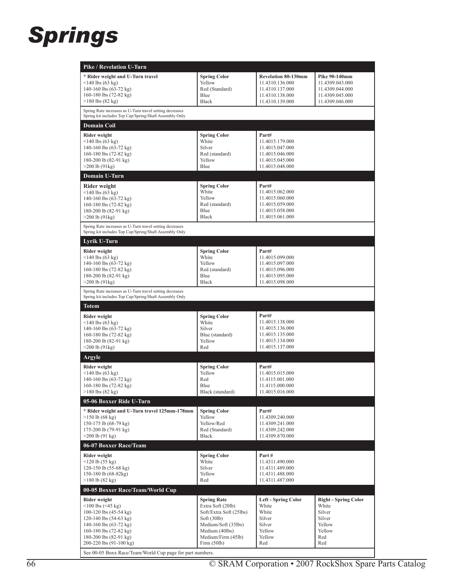#### *Springs*

| <b>Pike / Revelation U-Turn</b>                                                                                                                                                                                                                                                                                |                                                                                                                                                                  |                                                                                                        |                                                                                            |  |  |
|----------------------------------------------------------------------------------------------------------------------------------------------------------------------------------------------------------------------------------------------------------------------------------------------------------------|------------------------------------------------------------------------------------------------------------------------------------------------------------------|--------------------------------------------------------------------------------------------------------|--------------------------------------------------------------------------------------------|--|--|
| * Rider weight and U-Turn travel<br>$<$ 140 lbs (63 kg)<br>140-160 lbs $(63-72 \text{ kg})$<br>160-180 lbs (72-82 kg)<br>$>180$ lbs $(82 \text{ kg})$                                                                                                                                                          | <b>Spring Color</b><br>Yellow<br>Red (Standard)<br>Blue<br><b>Black</b>                                                                                          | <b>Revelation 80-130mm</b><br>11.4310.136.000<br>11.4310.137.000<br>11.4310.138.000<br>11.4310.139.000 | Pike 90-140mm<br>11.4309.043.000<br>11.4309.044.000<br>11.4309.045.000<br>11.4309.046.000  |  |  |
| Spring Rate increases as U-Turn travel setting decreases<br>Spring kit includes Top Cap/Spring/Shaft Assembly Only                                                                                                                                                                                             |                                                                                                                                                                  |                                                                                                        |                                                                                            |  |  |
| <b>Domain Coil</b>                                                                                                                                                                                                                                                                                             |                                                                                                                                                                  |                                                                                                        |                                                                                            |  |  |
| Rider weight<br>$<$ 140 lbs (63 kg)<br>140-160 lbs $(63-72 \text{ kg})$<br>160-180 lbs (72-82 kg)<br>180-200 lb (82-91 kg)<br>$>200$ lb (91kg)                                                                                                                                                                 | <b>Spring Color</b><br>White<br>Silver<br>Red (standard)<br>Yellow<br>Blue                                                                                       | Part#<br>11.4015.179.000<br>11.4015.047.000<br>11.4015.046.000<br>11.4015.045.000<br>11.4015.048.000   |                                                                                            |  |  |
| Domain U-Turn                                                                                                                                                                                                                                                                                                  |                                                                                                                                                                  |                                                                                                        |                                                                                            |  |  |
| Rider weight<br>$\leq$ 140 lbs (63 kg)<br>140-160 lbs (63-72 kg)<br>160-180 lbs $(72-82 \text{ kg})$<br>180-200 lb (82-91 kg)<br>$>200$ lb $(91kg)$                                                                                                                                                            | <b>Spring Color</b><br>White<br>Yellow<br>Red (standard)<br>Blue<br>Black                                                                                        | Part#<br>11.4015.062.000<br>11.4015.060.000<br>11.4015.059.000<br>11.4015.058.000<br>11.4015.061.000   |                                                                                            |  |  |
| Spring Rate increases as U-Turn travel setting decreases<br>Spring kit includes Top Cap/Spring/Shaft Assembly Only                                                                                                                                                                                             |                                                                                                                                                                  |                                                                                                        |                                                                                            |  |  |
| Lyrik U-Turn                                                                                                                                                                                                                                                                                                   |                                                                                                                                                                  |                                                                                                        |                                                                                            |  |  |
| <b>Rider weight</b><br>$\leq$ 140 lbs (63 kg)<br>140-160 lbs $(63-72 \text{ kg})$<br>160-180 lbs $(72-82 \text{ kg})$<br>180-200 lb (82-91 kg)<br>$>200$ lb $(91kg)$<br>Spring Rate increases as U-Turn travel setting decreases                                                                               | <b>Spring Color</b><br>White<br>Yellow<br>Red (standard)<br>Blue<br><b>Black</b>                                                                                 | Part#<br>11.4015.099.000<br>11.4015.097.000<br>11.4015.096.000<br>11.4015.095.000<br>11.4015.098.000   |                                                                                            |  |  |
| Spring kit includes Top Cap/Spring/Shaft Assembly Only                                                                                                                                                                                                                                                         |                                                                                                                                                                  |                                                                                                        |                                                                                            |  |  |
| <b>Totem</b>                                                                                                                                                                                                                                                                                                   |                                                                                                                                                                  |                                                                                                        |                                                                                            |  |  |
| <b>Rider weight</b><br>$\leq$ 140 lbs (63 kg)<br>140-160 lbs (63-72 kg)<br>160-180 lbs $(72-82 \text{ kg})$<br>180-200 lb (82-91 kg)<br>$>200$ lb $(91kg)$                                                                                                                                                     | <b>Spring Color</b><br>White<br>Silver<br>Blue (standard)<br>Yellow<br>Red                                                                                       | Part#<br>11.4015.138.000<br>11.4015.136.000<br>11.4015.135.000<br>11.4015.134.000<br>11.4015.137.000   |                                                                                            |  |  |
| Argyle                                                                                                                                                                                                                                                                                                         |                                                                                                                                                                  |                                                                                                        |                                                                                            |  |  |
| Rider weight<br>$\leq$ 140 lbs (63 kg)<br>140-160 lbs $(63-72 \text{ kg})$<br>160-180 lbs $(72-82 \text{ kg})$<br>$>180$ lbs (82 kg)                                                                                                                                                                           | <b>Spring Color</b><br>Yellow<br>Red<br>Blue<br>Black (standard)                                                                                                 | Part#<br>11.4015.015.000<br>11.4115.001.000<br>11.4115.000.000<br>11.4015.016.000                      |                                                                                            |  |  |
| 05-06 Boxxer Ride U-Turn                                                                                                                                                                                                                                                                                       |                                                                                                                                                                  |                                                                                                        |                                                                                            |  |  |
| * Rider weight and U-Turn travel 125mm-178mm<br>$>150$ lb (68 kg)<br>150-175 lb (68-79 kg)<br>175-200 lb (79-91 kg)<br>$>200$ lb (91 kg)                                                                                                                                                                       | <b>Spring Color</b><br>Yellow<br>Yellow/Red<br>Red (Standard)<br><b>Black</b>                                                                                    | Part#<br>11.4309.240.000<br>11.4309.241.000<br>11.4309.242.000<br>11.4309.870.000                      |                                                                                            |  |  |
| 06-07 Boxxer Race/Team                                                                                                                                                                                                                                                                                         |                                                                                                                                                                  |                                                                                                        |                                                                                            |  |  |
| <b>Rider weight</b><br>$<120$ lb $(55 \text{ kg})$<br>120-150 lb $(55-68 \text{ kg})$<br>150-180 lb (68-82kg)<br>$>180$ lb $(82 \text{ kg})$                                                                                                                                                                   | <b>Spring Color</b><br>White<br>Silver<br>Yellow<br>Red                                                                                                          | Part#<br>11.4311.490.000<br>11.4311.489.000<br>11.4311.488.000<br>11.4311.487.000                      |                                                                                            |  |  |
| 00-05 Boxxer Race/Team/World Cup                                                                                                                                                                                                                                                                               |                                                                                                                                                                  |                                                                                                        |                                                                                            |  |  |
| <b>Rider weight</b><br>$<100$ lbs $(<45$ kg)<br>100-120 lbs $(45-54 \text{ kg})$<br>120-140 lbs $(54-63 \text{ kg})$<br>140-160 lbs $(63-72 \text{ kg})$<br>160-180 lbs $(72-82 \text{ kg})$<br>180-200 lbs (82-91 kg)<br>200-220 lbs (91-100 kg)<br>See 00-05 Boxx Race/Team/World Cup page for part numbers. | <b>Spring Rate</b><br>Extra Soft (20lb)<br>Soft/Extra Soft (25lbs)<br>Soft(30lb)<br>Medium/Soft (35lbs)<br>Medium (40lbs)<br>Medium/Firm (45lb)<br>Firm $(50lb)$ | <b>Left - Spring Color</b><br>White<br>White<br>Silver<br>Silver<br>Yellow<br>Yellow<br>Red            | <b>Right - Spring Color</b><br>White<br>Silver<br>Silver<br>Yellow<br>Yellow<br>Red<br>Red |  |  |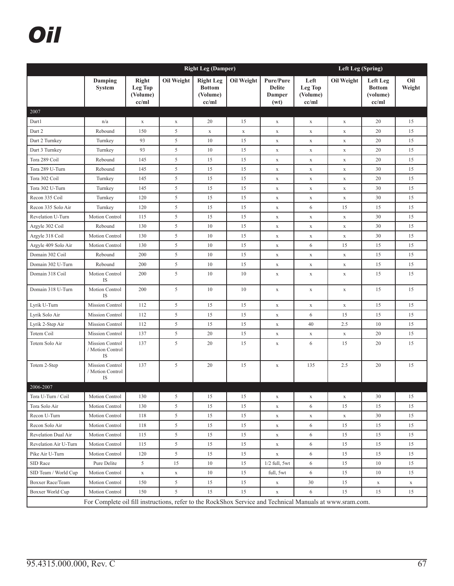# *Oil*

|                       | <b>Right Leg (Damper)</b>                                                                                |                                       |                |                                                        |             |                                              |                                      | <b>Left Leg (Spring)</b> |                                                |               |  |
|-----------------------|----------------------------------------------------------------------------------------------------------|---------------------------------------|----------------|--------------------------------------------------------|-------------|----------------------------------------------|--------------------------------------|--------------------------|------------------------------------------------|---------------|--|
|                       | Damping<br><b>System</b>                                                                                 | Right<br>Leg Top<br>(Volume)<br>cc/ml | Oil Weight     | <b>Right Leg</b><br><b>Bottom</b><br>(Volume)<br>cc/ml | Oil Weight  | Pure/Pure<br><b>Delite</b><br>Damper<br>(wt) | Left<br>Leg Top<br>(Volume)<br>cc/ml | Oil Weight               | Left Leg<br><b>Bottom</b><br>(volume)<br>cc/ml | Oil<br>Weight |  |
| 2007                  |                                                                                                          |                                       |                |                                                        |             |                                              |                                      |                          |                                                |               |  |
| Dart1                 | n/a                                                                                                      | $\mathbf X$                           | $\mathbf X$    | 20                                                     | 15          | $\mathbf X$                                  | $\mathbf X$                          | $\mathbf X$              | 20                                             | 15            |  |
| Dart 2                | Rebound                                                                                                  | 150                                   | 5              | $\mathbf X$                                            | $\mathbf X$ | $\mathbf X$                                  | $\mathbf X$                          | $\mathbf X$              | 20                                             | 15            |  |
| Dart 2 Turnkey        | Turnkey                                                                                                  | 93                                    | 5              | 10                                                     | 15          | $\mathbf X$                                  | $\mathbf X$                          | $\mathbf X$              | 20                                             | 15            |  |
| Dart 3 Turnkey        | Turnkey                                                                                                  | 93                                    | 5              | 10                                                     | 15          | $\mathbf X$                                  | $\mathbf X$                          | $\mathbf X$              | 20                                             | 15            |  |
| Tora 289 Coil         | Rebound                                                                                                  | 145                                   | 5              | 15                                                     | 15          | $\mathbf X$                                  | $\mathbf X$                          | $\mathbf X$              | 20                                             | 15            |  |
| Tora 289 U-Turn       | Rebound                                                                                                  | 145                                   | 5              | 15                                                     | 15          | $\mathbf X$                                  | $\mathbf X$                          | $\mathbf X$              | 30                                             | 15            |  |
| Tora 302 Coil         | Turnkey                                                                                                  | 145                                   | 5              | 15                                                     | 15          | $\mathbf X$                                  | $\mathbf X$                          | $\mathbf X$              | 20                                             | 15            |  |
| Tora 302 U-Turn       | Turnkey                                                                                                  | 145                                   | 5              | 15                                                     | 15          | $\mathbf X$                                  | $\mathbf X$                          | $\mathbf X$              | 30                                             | 15            |  |
| Recon 335 Coil        | Turnkey                                                                                                  | 120                                   | 5              | 15                                                     | 15          | $\mathbf X$                                  | $\mathbf X$                          | $\mathbf X$              | 30                                             | 15            |  |
| Recon 335 Solo Air    | Turnkey                                                                                                  | 120                                   | 5              | 15                                                     | 15          | $\mathbf X$                                  | 6                                    | 15                       | 15                                             | 15            |  |
| Revelation U-Turn     | <b>Motion Control</b>                                                                                    | 115                                   | 5              | 15                                                     | 15          | $\mathbf X$                                  | $\mathbf X$                          | $\mathbf X$              | 30                                             | 15            |  |
| Argyle 302 Coil       | Rebound                                                                                                  | 130                                   | 5              | 10                                                     | 15          | $\mathbf X$                                  | $\mathbf X$                          | $\mathbf X$              | 30                                             | 15            |  |
| Argyle 318 Coil       | <b>Motion Control</b>                                                                                    | 130                                   | 5              | 10                                                     | 15          | $\mathbf X$                                  | $\mathbf X$                          | $\mathbf X$              | 30                                             | 15            |  |
| Argyle 409 Solo Air   | <b>Motion Control</b>                                                                                    | 130                                   | 5              | 10                                                     | 15          | $\mathbf X$                                  | 6                                    | 15                       | 15                                             | 15            |  |
| Domain 302 Coil       | Rebound                                                                                                  | 200                                   | 5              | 10                                                     | 15          | $\mathbf X$                                  | $\mathbf X$                          | $\mathbf X$              | 15                                             | 15            |  |
| Domain 302 U-Turn     | Rebound                                                                                                  | 200                                   | 5              | 10                                                     | 15          | $\mathbf X$                                  | $\mathbf X$                          | $\mathbf X$              | 15                                             | 15            |  |
| Domain 318 Coil       | Motion Control<br>IS                                                                                     | 200                                   | 5              | 10                                                     | 10          | $\mathbf X$                                  | $\mathbf X$                          | $\mathbf X$              | 15                                             | 15            |  |
| Domain 318 U-Turn     | Motion Control<br>IS                                                                                     | 200                                   | 5              | 10                                                     | 10          | $\mathbf X$                                  | $\mathbf X$                          | $\mathbf X$              | 15                                             | 15            |  |
| Lyrik U-Turn          | Mission Control                                                                                          | 112                                   | 5              | 15                                                     | 15          | $\mathbf X$                                  | $\mathbf X$                          | $\mathbf X$              | 15                                             | 15            |  |
| Lyrik Solo Air        | <b>Mission Control</b>                                                                                   | 112                                   | 5              | 15                                                     | 15          | $\mathbf X$                                  | 6                                    | 15                       | 15                                             | 15            |  |
| Lyrik 2-Step Air      | Mission Control                                                                                          | 112                                   | 5              | 15                                                     | 15          | $\mathbf X$                                  | 40                                   | 2.5                      | 10                                             | 15            |  |
| Totem Coil            | <b>Mission Control</b>                                                                                   | 137                                   | 5              | 20                                                     | 15          | $\mathbf X$                                  | $\mathbf X$                          | $\mathbf X$              | 20                                             | 15            |  |
| Totem Solo Air        | <b>Mission Control</b><br>/ Motion Control<br>IS                                                         | 137                                   | 5              | 20                                                     | 15          | $\mathbf X$                                  | 6                                    | 15                       | 20                                             | 15            |  |
| Totem 2-Step          | <b>Mission Control</b><br>/ Motion Control<br>IS                                                         | 137                                   | 5              | 20                                                     | 15          | $\mathbf X$                                  | 135                                  | 2.5                      | 20                                             | 15            |  |
| 2006-2007             |                                                                                                          |                                       |                |                                                        |             |                                              |                                      |                          |                                                |               |  |
| Tora U-Turn / Coil    | Motion Control                                                                                           | 130                                   | 5              | 15                                                     | 15          | $\mathbf X$                                  | $\mathbf X$                          | $\mathbf X$              | 30                                             | 15            |  |
| Tora Solo Air         | Motion Control                                                                                           | 130                                   | 5              | 15                                                     | 15          | $\mathbf X$                                  | 6                                    | 15                       | 15                                             | 15            |  |
| Recon U-Turn          | Motion Control                                                                                           | 118                                   | 5              | 15                                                     | 15          | $\mathbf X$                                  | $\mathbf X$                          | $\mathbf X$              | 30                                             | 15            |  |
| Recon Solo Air        | Motion Control                                                                                           | 118                                   | 5              | 15                                                     | 15          | $\mathbf X$                                  | 6                                    | 15                       | 15                                             | 15            |  |
| Revelation Dual Air   | Motion Control                                                                                           | 115                                   | 5              | 15                                                     | 15          | $\mathbf X$                                  | 6                                    | 15                       | 15                                             | 15            |  |
| Revelation Air U-Turn | Motion Control                                                                                           | 115                                   | 5              | 15                                                     | 15          | $\mathbf X$                                  | 6                                    | 15                       | 15                                             | 15            |  |
| Pike Air U-Turn       | Motion Control                                                                                           | 120                                   | 5              | 15                                                     | 15          | $\mathbf X$                                  | 6                                    | 15                       | 15                                             | 15            |  |
| SID Race              | Pure Delite                                                                                              | 5                                     | 15             | 10                                                     | 15          | $1/2$ full, $5wt$                            | 6                                    | 15                       | 10                                             | 15            |  |
| SID Team / World Cup  | Motion Control                                                                                           | $\mathbf X$                           | $\mathbf X$    | 10                                                     | 15          | full, 5wt                                    | 6                                    | 15                       | 10                                             | 15            |  |
| Boxxer Race/Team      | Motion Control                                                                                           | 150                                   | 5 <sup>5</sup> | 15                                                     | 15          | $\mathbf X$                                  | 30                                   | 15                       | $\mathbf X$                                    | $\mathbf X$   |  |
| Boxxer World Cup      | Motion Control                                                                                           | 150                                   | 5              | 15                                                     | 15          | $\mathbf X$                                  | 6                                    | 15                       | 15                                             | 15            |  |
|                       | For Complete oil fill instructions, refer to the RockShox Service and Technical Manuals at www.sram.com. |                                       |                |                                                        |             |                                              |                                      |                          |                                                |               |  |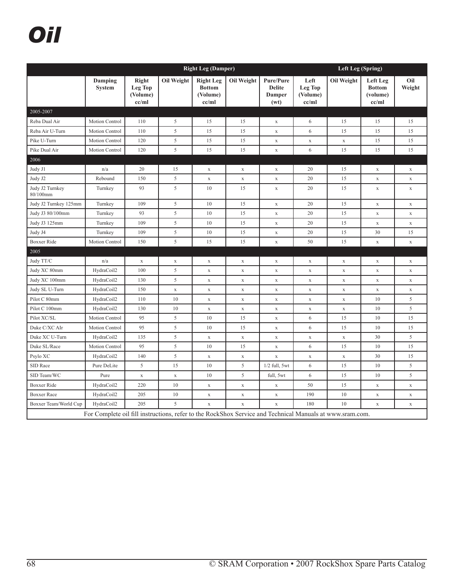# *Oil*

|                             | <b>Right Leg (Damper)</b>                                                                                |                                       |             |                                                        |             |                                                            |                                             | <b>Left Leg (Spring)</b> |                                                |               |  |
|-----------------------------|----------------------------------------------------------------------------------------------------------|---------------------------------------|-------------|--------------------------------------------------------|-------------|------------------------------------------------------------|---------------------------------------------|--------------------------|------------------------------------------------|---------------|--|
|                             | Damping<br><b>System</b>                                                                                 | Right<br>Leg Top<br>(Volume)<br>cc/ml | Oil Weight  | <b>Right Leg</b><br><b>Bottom</b><br>(Volume)<br>cc/ml | Oil Weight  | <b>Pure/Pure</b><br><b>Delite</b><br><b>Damper</b><br>(wt) | Left<br><b>Leg Top</b><br>(Volume)<br>cc/ml | Oil Weight               | Left Leg<br><b>Bottom</b><br>(volume)<br>cc/ml | Oil<br>Weight |  |
| 2005-2007<br>Reba Dual Air  | <b>Motion Control</b>                                                                                    | 110                                   | 5           | 15                                                     | 15          |                                                            | 6                                           | 15                       | 15                                             | 15            |  |
| Reba Air U-Turn             | Motion Control                                                                                           | 110                                   | 5           | 15                                                     | 15          | $\mathbf X$<br>$\mathbf X$                                 | 6                                           | 15                       | 15                                             | 15            |  |
| Pike U-Turn                 | <b>Motion Control</b>                                                                                    | 120                                   | 5           | 15                                                     | 15          | $\mathbf X$                                                | $\mathbf X$                                 | $\mathbf X$              | 15                                             | 15            |  |
| Pike Dual Air               | Motion Control                                                                                           | 120                                   | 5           | 15                                                     | 15          | $\mathbf X$                                                | 6                                           | 15                       | 15                                             | 15            |  |
| 2006                        |                                                                                                          |                                       |             |                                                        |             |                                                            |                                             |                          |                                                |               |  |
| Judy J1                     | n/a                                                                                                      | 20                                    | 15          | $\mathbf X$                                            | $\mathbf X$ | $\mathbf X$                                                | 20                                          | 15                       | $\mathbf X$                                    | $\mathbf X$   |  |
| Judy J2                     | Rebound                                                                                                  | 150                                   | 5           | $\mathbf X$                                            | $\mathbf X$ | $\mathbf X$                                                | 20                                          | 15                       | $\mathbf X$                                    | $\mathbf X$   |  |
| Judy J2 Turnkey<br>80/100mm | Turnkey                                                                                                  | 93                                    | 5           | 10                                                     | 15          | $\mathbf X$                                                | 20                                          | 15                       | $\mathbf X$                                    | $\mathbf X$   |  |
| Judy J2 Turnkey 125mm       | Turnkey                                                                                                  | 109                                   | 5           | 10                                                     | 15          | $\mathbf X$                                                | 20                                          | 15                       | $\mathbf X$                                    | $\mathbf X$   |  |
| Judy J3 80/100mm            | Turnkey                                                                                                  | 93                                    | 5           | 10                                                     | 15          | $\mathbf X$                                                | 20                                          | 15                       | $\mathbf X$                                    | $\mathbf X$   |  |
| Judy J3 125mm               | Turnkey                                                                                                  | 109                                   | 5           | 10                                                     | 15          | $\mathbf X$                                                | 20                                          | 15                       | $\mathbf X$                                    | $\mathbf X$   |  |
| Judy J4                     | Turnkey                                                                                                  | 109                                   | 5           | 10                                                     | 15          | $\mathbf X$                                                | 20                                          | 15                       | 30                                             | 15            |  |
| <b>Boxxer Ride</b>          | <b>Motion Control</b>                                                                                    | 150                                   | 5           | 15                                                     | 15          | $\mathbf X$                                                | 50                                          | 15                       | $\mathbf x$                                    | $\mathbf X$   |  |
| 2005                        |                                                                                                          |                                       |             |                                                        |             |                                                            |                                             |                          |                                                |               |  |
| Judy TT/C                   | n/a                                                                                                      | $\mathbf X$                           | $\mathbf X$ | $\mathbf X$                                            | $\mathbf X$ | $\mathbf X$                                                | $\mathbf X$                                 | $\mathbf X$              | $\mathbf X$                                    | $\mathbf X$   |  |
| Judy XC 80mm                | HydraCoil2                                                                                               | 100                                   | 5           | $\mathbf X$                                            | $\mathbf X$ | $\mathbf X$                                                | $\mathbf X$                                 | $\mathbf x$              | $\mathbf X$                                    | $\mathbf X$   |  |
| Judy XC 100mm               | HydraCoil2                                                                                               | 130                                   | 5           | $\mathbf X$                                            | $\mathbf X$ | $\mathbf X$                                                | $\mathbf X$                                 | $\mathbf X$              | $\mathbf X$                                    | $\mathbf X$   |  |
| Judy SL U-Turn              | HydraCoil2                                                                                               | 150                                   | $\mathbf X$ | $\mathbf X$                                            | $\mathbf X$ | $\mathbf X$                                                | $\mathbf X$                                 | $\mathbf x$              | $\mathbf x$                                    | $\mathbf X$   |  |
| Pilot C 80mm                | HydraCoil2                                                                                               | 110                                   | 10          | $\mathbf X$                                            | $\mathbf X$ | $\mathbf X$                                                | $\mathbf X$                                 | $\mathbf X$              | 10                                             | 5             |  |
| Pilot C 100mm               | HydraCoil2                                                                                               | 130                                   | 10          | $\mathbf X$                                            | $\mathbf X$ | $\mathbf X$                                                | $\mathbf X$                                 | $\mathbf X$              | 10                                             | 5             |  |
| Pilot XC/SL                 | Motion Control                                                                                           | 95                                    | 5           | 10                                                     | 15          | $\mathbf X$                                                | 6                                           | 15                       | 10                                             | 15            |  |
| Duke C/XC AIr               | <b>Motion Control</b>                                                                                    | 95                                    | 5           | 10                                                     | 15          | $\mathbf X$                                                | 6                                           | 15                       | 10                                             | 15            |  |
| Duke XC U-Turn              | HydraCoil2                                                                                               | 135                                   | 5           | $\mathbf X$                                            | $\mathbf X$ | $\mathbf X$                                                | $\mathbf X$                                 | $\mathbf X$              | 30                                             | 5             |  |
| Duke SL/Race                | Motion Control                                                                                           | 95                                    | 5           | 10                                                     | 15          | $\mathbf X$                                                | 6                                           | 15                       | 10                                             | 15            |  |
| Psylo XC                    | HydraCoil2                                                                                               | 140                                   | 5           | $\mathbf X$                                            | $\mathbf X$ | $\mathbf X$                                                | $\mathbf X$                                 | $\mathbf X$              | 30                                             | 15            |  |
| SID Race                    | Pure DeLite                                                                                              | 5                                     | 15          | 10                                                     | 5           | $1/2$ full, 5wt                                            | 6                                           | 15                       | 10                                             | 5             |  |
| SID Team/WC                 | Pure                                                                                                     | $\mathbf X$                           | $\mathbf X$ | 10                                                     | 5           | full, 5wt                                                  | 6                                           | 15                       | 10                                             | 5             |  |
| <b>Boxxer Ride</b>          | HydraCoil2                                                                                               | 220                                   | 10          | $\mathbf X$                                            | $\mathbf X$ | $\mathbf X$                                                | 50                                          | 15                       | $\mathbf X$                                    | $\mathbf X$   |  |
| <b>Boxxer Race</b>          | HydraCoil2                                                                                               | 205                                   | 10          | $\mathbf X$                                            | $\mathbf X$ | $\mathbf X$                                                | 190                                         | 10                       | $\mathbf X$                                    | $\mathbf X$   |  |
| Boxxer Team/World Cup       | HydraCoil2                                                                                               | 205                                   | 5           | $\mathbf X$                                            | $\mathbf X$ | $\mathbf X$                                                | 180                                         | 10                       | $\mathbf X$                                    | $\mathbf X$   |  |
|                             | For Complete oil fill instructions, refer to the RockShox Service and Technical Manuals at www.sram.com. |                                       |             |                                                        |             |                                                            |                                             |                          |                                                |               |  |